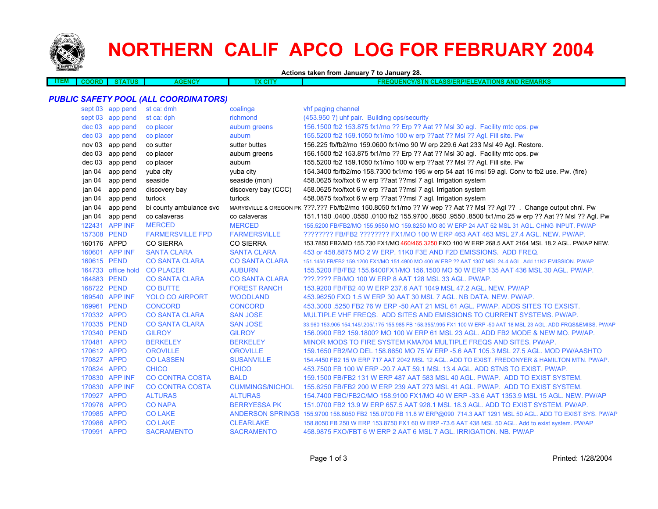

## **NORTHERN CALIF APCO LOG FOR FEBRUARY 2004**

**Actions taken from January 7 to January 28.**

| <b>ITEM</b> | חאנ | <b>RILLE</b><br><b>UN</b> | <br>. | $-1$<br>. 611 | <b>PLACE</b><br><b>AND</b><br>w<br>$\sim$<br>.<br><b>INCHILANO</b><br>.<br>$\sim$<br>.<br>.<br>$\sim$ $\sim$ $\sim$ $\sim$ |
|-------------|-----|---------------------------|-------|---------------|----------------------------------------------------------------------------------------------------------------------------|
|             |     |                           |       |               |                                                                                                                            |

## *PUBLIC SAFETY POOL (ALL COORDINATORS)*

|          | sept 03 app pend   | st ca: dmh              | coalinga               | vhf paging channel                                                                                                   |
|----------|--------------------|-------------------------|------------------------|----------------------------------------------------------------------------------------------------------------------|
|          | sept 03 app pend   | st ca: dph              | richmond               | (453.950 ?) uhf pair. Building ops/security                                                                          |
| $dec$ 03 | app pend           | co placer               | auburn greens          | 156.1500 fb2 153.875 fx1/mo ?? Erp ?? Aat ?? Msl 30 agl. Facility mtc ops. pw                                        |
| dec 03   | app pend           | co placer               | auburn                 | 155.5200 fb2 159.1050 fx1/mo 100 w erp ??aat ?? Msl ?? Agl. Fill site. Pw                                            |
| nov 03   | app pend           | co sutter               | sutter buttes          | 156.225 fb/fb2/mo 159.0600 fx1/mo 90 W erp 229.6 Aat 233 Msl 49 Agl. Restore.                                        |
| dec 03   | app pend           | co placer               | auburn greens          | 156.1500 fb2 153.875 fx1/mo ?? Erp ?? Aat ?? Msl 30 agl. Facility mtc ops. pw                                        |
| dec 03   | app pend           | co placer               | auburn                 | 155.5200 fb2 159.1050 fx1/mo 100 w erp ??aat ?? Msl ?? Agl. Fill site. Pw                                            |
| jan 04   | app pend           | yuba city               | yuba city              | 154.3400 fb/fb2/mo 158.7300 fx1/mo 195 w erp 54 aat 16 msl 59 agl. Conv to fb2 use. Pw. (fire)                       |
| jan 04   | app pend           | seaside                 | seaside (mon)          | 458.0625 fxo/fxot 6 w erp ??aat ??msl 7 agl. Irrigation system                                                       |
| jan 04   | app pend           | discovery bay           | discovery bay (CCC)    | 458.0625 fxo/fxot 6 w erp ??aat ??msl 7 agl. Irrigation system                                                       |
| jan 04   | app pend           | turlock                 | turlock                | 458.0875 fxo/fxot 6 w erp ??aat ??msl 7 agl. Irrigation system                                                       |
| jan 04   | app pend           | bi county ambulance svc |                        | MARYSVILLE & OREGON PK ???.??? Fb/fb2/mo 150.8050 fx1/mo ?? W wep ?? Aat ?? Msl ?? Agl ??. Change output chnl. Pw    |
| jan 04   | app pend           | co calaveras            | co calaveras           | 151.1150 .0400 .0550 .0100 fb2 155.9700 .8650 .9550 .8500 fx1/mo 25 w erp ?? Aat ?? Msl ?? Agl. Pw                   |
|          | 122431 APP INF     | <b>MERCED</b>           | <b>MERCED</b>          | 155,5200 FB/FB2/MO 155,9550 MO 159,8250 MO 80 W ERP 24 AAT 52 MSL 31 AGL, CHNG INPUT, PW/AP                          |
|          | 157308 PEND        | <b>FARMERSVILLE FPD</b> | <b>FARMERSVILLE</b>    | ???????? FB/FB2 ??????? FX1/MO 100 W ERP 463 AAT 463 MSL 27.4 AGL. NEW. PW/AP.                                       |
|          | 160176 APPD        | <b>CO SIERRA</b>        | <b>CO SIERRA</b>       | 153.7850 FB2/MO 155.730 FX1/MO 460/465.3250 FXO 100 W ERP 268.5 AAT 2164 MSL 18.2 AGL. PW/AP NEW.                    |
|          | 160601 APP INF     | <b>SANTA CLARA</b>      | <b>SANTA CLARA</b>     | 453 or 458.8875 MO 2 W ERP. 11K0 F3E AND F2D EMISSIONS. ADD FREQ.                                                    |
|          | 160615 PEND        | <b>CO SANTA CLARA</b>   | <b>CO SANTA CLARA</b>  | 151.1450 FB/FB2 159.1200 FX1/MO 151.4900 MO 400 W ERP ?? AAT 1307 MSL 24.4 AGL. Add 11K2 EMISSION. PW/AP             |
|          | 164733 office hold | <b>CO PLACER</b>        | <b>AUBURN</b>          | 155.5200 FB/FB2 155.6400FX1/MO 156.1500 MO 50 W ERP 135 AAT 436 MSL 30 AGL. PW/AP.                                   |
|          | 164883 PEND        | <b>CO SANTA CLARA</b>   | <b>CO SANTA CLARA</b>  | ???.???? FB/MO 100 W ERP 8 AAT 128 MSL 33 AGL. PW/AP.                                                                |
|          | 168722 PEND        | <b>CO BUTTE</b>         | <b>FOREST RANCH</b>    | 153,9200 FB/FB2 40 W ERP 237.6 AAT 1049 MSL 47.2 AGL, NEW, PW/AP                                                     |
|          | 169540 APP INF     | <b>YOLO CO AIRPORT</b>  | <b>WOODLAND</b>        | 453.96250 FXO 1.5 W ERP 30 AAT 30 MSL 7 AGL. NB DATA. NEW. PW/AP.                                                    |
|          | 169961 PEND        | <b>CONCORD</b>          | <b>CONCORD</b>         | 453.3000 .5250 FB2 76 W ERP -50 AAT 21 MSL 61 AGL. PW/AP. ADDS SITES TO EXSIST.                                      |
|          | 170332 APPD        | <b>CO SANTA CLARA</b>   | <b>SAN JOSE</b>        | MULTIPLE VHF FREQS. ADD SITES AND EMISSIONS TO CURRENT SYSTEMS. PW/AP.                                               |
|          | 170335 PEND        | <b>CO SANTA CLARA</b>   | <b>SAN JOSE</b>        | 33,960 153,905 154,145/.205/.175 155,985 FB 158,355/.995 FX1 100 W ERP -50 AAT 18 MSL 23 AGL, ADD FRQS&EMISS, PW/AP  |
|          | 170340 PEND        | <b>GILROY</b>           | <b>GILROY</b>          | 156,0900 FB2 159,1800? MO 100 W ERP 61 MSL 23 AGL. ADD FB2 MODE & NEW MO. PW/AP.                                     |
|          | 170481 APPD        | <b>BERKELEY</b>         | <b>BERKELEY</b>        | MINOR MODS TO FIRE SYSTEM KMA704 MULTIPLE FREQS AND SITES. PW/AP.                                                    |
|          | 170612 APPD        | <b>OROVILLE</b>         | <b>OROVILLE</b>        | 159.1650 FB2/MO DEL 158.8650 MO 75 W ERP -5.6 AAT 105.3 MSL 27.5 AGL. MOD PW/AASHTO                                  |
|          | 170827 APPD        | <b>CO LASSEN</b>        | <b>SUSANVILLE</b>      | 154.4450 FB2 15 W ERP 717 AAT 2042 MSL 12 AGL. ADD TO EXIST. FREDONYER & HAMILTON MTN. PW/AP.                        |
|          | 170824 APPD        | <b>CHICO</b>            | <b>CHICO</b>           | 453.7500 FB 100 W ERP -20.7 AAT 59.1 MSL 13.4 AGL. ADD STNS TO EXIST. PW/AP.                                         |
|          | 170830 APP INF     | <b>CO CONTRA COSTA</b>  | <b>BALD</b>            | 159.1500 FB/FB2 131 W ERP 487 AAT 583 MSL 40 AGL. PW/AP. ADD TO EXIST SYSTEM.                                        |
|          | 170830 APP INF     | <b>CO CONTRA COSTA</b>  | <b>CUMMINGS/NICHOL</b> | 155.6250 FB/FB2 200 W ERP 239 AAT 273 MSL 41 AGL. PW/AP. ADD TO EXIST SYSTEM.                                        |
|          | 170927 APPD        | <b>ALTURAS</b>          | <b>ALTURAS</b>         | 154.7400 FBC/FB2C/MO 158.9100 FX1/MO 40 W ERP -33.6 AAT 1353.9 MSL 15 AGL. NEW. PW/AP                                |
|          | 170976 APPD        | <b>CO NAPA</b>          | <b>BERRYESSA PK</b>    | 151.0700 FB2 13.9 W ERP 657.5 AAT 928.1 MSL 18.3 AGL. ADD TO EXIST SYSTEM. PW/AP.                                    |
|          | 170985 APPD        | <b>CO LAKE</b>          |                        | ANDERSON SPRINGS 155.9700 158.8050 FB2 155.0700 FB 11.8 W ERP@090 714.3 AAT 1291 MSL 50 AGL. ADD TO EXIST SYS. PW/AP |
|          | 170986 APPD        | <b>CO LAKE</b>          | <b>CLEARLAKE</b>       | 158.8050 FB 250 W ERP 153.8750 FX1 60 W ERP -73.6 AAT 438 MSL 50 AGL. Add to exist system. PW/AP                     |
|          | 170991 APPD        | <b>SACRAMENTO</b>       | <b>SACRAMENTO</b>      | 458,9875 FXO/FBT 6 W ERP 2 AAT 6 MSL 7 AGL. IRRIGATION, NB, PW/AP                                                    |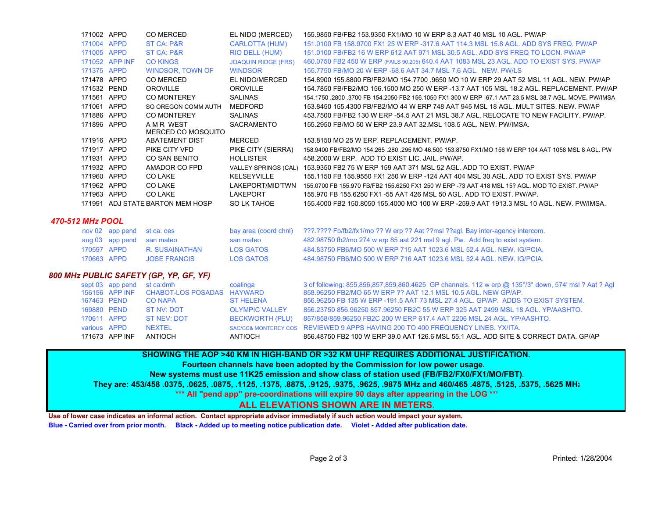| 171002 APPD      |                            | CO MERCED                                 | EL NIDO (MERCED)           | 155,9850 FB/FB2 153,9350 FX1/MO 10 W ERP 8.3 AAT 40 MSL 10 AGL, PW/AP                                                                                                 |
|------------------|----------------------------|-------------------------------------------|----------------------------|-----------------------------------------------------------------------------------------------------------------------------------------------------------------------|
| 171004 APPD      |                            | ST CA: P&R                                | <b>CARLOTTA (HUM)</b>      | 151,0100 FB 158,9700 FX1 25 W ERP -317.6 AAT 114.3 MSL 15.8 AGL. ADD SYS FREQ. PW/AP                                                                                  |
| 171005 APPD      |                            | ST CA: P&R                                | RIO DELL (HUM)             | 151,0100 FB/FB2 16 W ERP 612 AAT 971 MSL 30.5 AGL, ADD SYS FREQ TO LOCN, PW/AP                                                                                        |
|                  | 171052 APP INF             | <b>CO KINGS</b>                           | <b>JOAQUIN RIDGE (FRS)</b> | 460.0750 FB2 450 W ERP (FAILS 90.205) 640.4 AAT 1083 MSL 23 AGL. ADD TO EXIST SYS. PW/AP                                                                              |
| 171375 APPD      |                            | <b>WINDSOR, TOWN OF</b>                   | <b>WINDSOR</b>             | 155,7750 FB/MO 20 W ERP -68.6 AAT 34.7 MSL 7.6 AGL. NEW. PW/LS                                                                                                        |
| 171478 APPD      |                            | CO MERCED                                 | EL NIDO/MERCED             | 154.8900 155.8800 FB/FB2/MO 154.7700 .9650 MO 10 W ERP 29 AAT 52 MSL 11 AGL. NEW. PW/AP                                                                               |
| 171532 PEND      |                            | <b>OROVILLE</b>                           | <b>OROVILLE</b>            | 154.7850 FB/FB2/MO 156.1500 MO 250 W ERP -13.7 AAT 105 MSL 18.2 AGL. REPLACEMENT, PW/AP                                                                               |
| 171561 APPD      |                            | <b>CO MONTEREY</b>                        | <b>SALINAS</b>             | 154.1750 .2800 .3700 FB 154.2050 FB2 156.1050 FX1 300 W ERP -67.1 AAT 23.5 MSL 38.7 AGL. MOVE, PW/IMSA                                                                |
| 171061 APPD      |                            | SO OREGON COMM AUTH                       | MEDFORD                    | 153.8450 155.4300 FB/FB2/MO 44 W ERP 748 AAT 945 MSL 18 AGL. MULT SITES, NEW, PW/AP                                                                                   |
| 171886 APPD      |                            | <b>CO MONTEREY</b>                        | <b>SALINAS</b>             | 453.7500 FB/FB2 130 W ERP -54.5 AAT 21 MSL 38.7 AGL. RELOCATE TO NEW FACILITY, PW/AP.                                                                                 |
| 171896 APPD      |                            | A M R WEST<br>MERCED CO MOSQUITO          | <b>SACRAMENTO</b>          | 155,2950 FB/MO 50 W ERP 23.9 AAT 32.MSL 108.5 AGL, NEW, PW/IMSA.                                                                                                      |
| 171916 APPD      |                            | <b>ABATEMENT DIST</b>                     | <b>MERCED</b>              | 153.8150 MO 25 W ERP. REPLACEMENT. PW/AP.                                                                                                                             |
| 171917 APPD      |                            | PIKE CITY VFD                             | PIKE CITY (SIERRA)         | 158.9400 FB/FB2/MO 154.265 .280 .295 MO 46.500 153.8750 FX1/MO 156 W ERP 104 AAT 1058 MSL 8 AGL. PW                                                                   |
| 171931 APPD      |                            | CO SAN BENITO                             | <b>HOLLISTER</b>           | 458,2000 W ERP. ADD TO EXIST LIC. JAIL. PW/AP.                                                                                                                        |
| 171932 APPD      |                            | AMADOR CO FPD                             |                            | VALLEY SPRINGS (CAL) 153.9350 FB2 75 W ERP 159 AAT 371 MSL 52 AGL. ADD TO EXIST. PW/AP                                                                                |
| 171960 APPD      |                            | CO LAKE                                   | <b>KELSEYVILLE</b>         | 155,1150 FB 155,9550 FX1 250 W ERP -124 AAT 404 MSL 30 AGL, ADD TO EXIST SYS, PW/AP                                                                                   |
| 171962 APPD      |                            | CO LAKE                                   | LAKEPORT/MID'TWN           | 155,0700 FB 155,970 FB/FB2 155,6250 FX1 250 W ERP -73 AAT 418 MSL 15? AGL, MOD TO EXIST, PW/AP                                                                        |
| 171963 APPD      |                            | CO LAKE                                   | LAKEPORT                   | 155,970 FB 155,6250 FX1 -55 AAT 426 MSL 50 AGL, ADD TO EXIST, PW/AP.                                                                                                  |
|                  |                            | 171991 ADJ STATE BARTON MEM HOSP          | <b>SO LK TAHOE</b>         | 155,4000 FB2 150,8050 155,4000 MO 100 W ERP -259.9 AAT 1913.3 MSL 10 AGL. NEW, PW/IMSA.                                                                               |
| 470-512 MHz POOL |                            |                                           |                            |                                                                                                                                                                       |
|                  | nov 02 app pend            | st ca: oes                                | bay area (coord chnl)      | ???.???? Fb/fb2/fx1/mo ?? W erp ?? Aat ??msl ??agl. Bay inter-agency intercom.                                                                                        |
|                  | aug 03 app pend            | san mateo                                 | san mateo                  | 482.98750 fb2/mo 274 w erp 85 aat 221 msl 9 agl. Pw. Add freq to exist system.                                                                                        |
| 170597 APPD      |                            | R. SUSAINATHAN                            | <b>LOS GATOS</b>           | 484 83750 FB6/MO 500 W ERP 715 AAT 1023.6 MSL 52.4 AGL, NEW, IG/PCIA.                                                                                                 |
| 170663 APPD      |                            | <b>JOSE FRANCIS</b>                       | <b>LOS GATOS</b>           | 484 98750 FB6/MO 500 W ERP 716 AAT 1023.6 MSL 52.4 AGL. NEW. IG/PCIA.                                                                                                 |
|                  |                            | 800 MHz PUBLIC SAFETY (GP, YP, GF, YF)    |                            |                                                                                                                                                                       |
|                  | sept 03 app pend st ca:dmh | 156156 APP INE CHAROT-LOS POSADAS HAYWARD | coalinga                   | 3 of following: 855,856,857,859,860.4625 GP channels. 112 w erp @ 135°/3° down, 574' msl ? Aat ? Agl<br>858 96250 FR2/MO 65 W FRP 22 AAT 12 1 MSL 10 5 AGL. NEW GP/AP |

|              | 171673 APP INF | ANTIOCH                                   | ANTIOCH               | 856.48750 FB2 100 W ERP 39.0 AAT 126.6 MSL 55.1 AGL. ADD SITE & CORRECT DATA. GP/AP    |  |
|--------------|----------------|-------------------------------------------|-----------------------|----------------------------------------------------------------------------------------|--|
| various APPD |                | NEXTEL                                    |                       | SAC/CC& MONTEREY COS REVIEWED 9 APPS HAVING 200 TO 400 FREQUENCY LINES, YX/ITA.        |  |
| 170611 APPD  |                | ST NEV: DOT                               |                       | BECKWORTH (PLU) 857/858/859.96250 FB2C 200 W ERP 617.4 AAT 2206 MSL 24 AGL. YP/AASHTO. |  |
| 169880 PEND  |                | ST NV: DOT                                | <b>OLYMPIC VALLEY</b> | 856.23750 856.96250 857.96250 FB2C 55 W ERP 325 AAT 2499 MSL 18 AGL. YP/AASHTO.        |  |
| 167463 PEND  |                | CO NAPA                                   | ST HELENA             | 856,96250 FB 135 W ERP -191.5 AAT 73 MSL 27.4 AGL, GP/AP, ADDS TO EXIST SYSTEM.        |  |
|              |                | 156156 APP INF CHABOT-LOS POSADAS HAYWARD |                       | 858.96250 FB2/MO 65 W ERP ?? AAT 12.1 MSL 10.5 AGL. NEW GP/AP.                         |  |
|              |                |                                           |                       |                                                                                        |  |

## **SHOWING THE AOP >40 KM IN HIGH-BAND OR >32 KM UHF REQUIRES ADDITIONAL JUSTIFICATION.**

**Fourteen channels have been adopted by the Commission for low power usage.** 

**New systems must use 11K25 emission and show class of station used (FB/FB2/FX0/FX1/MO/FBT).**

**They are: 453/458 .0375, .0625, .0875, .1125, .1375, .8875, .9125, .9375, .9625, .9875 MHz and 460/465 .4875, .5125, .5375, .5625 MHz**

**\*\*\* All "pend app" pre-coordinations will expire 90 days after appearing in the LOG \*\*\***

## **ALL ELEVATIONS SHOWN ARE IN METERS.**

**Use of lower case indicates an informal action. Contact appropriate advisor immediately if such action would impact your system. Blue - Carried over from prior month. Black - Added up to meeting notice publication date. Violet - Added after publication date.**